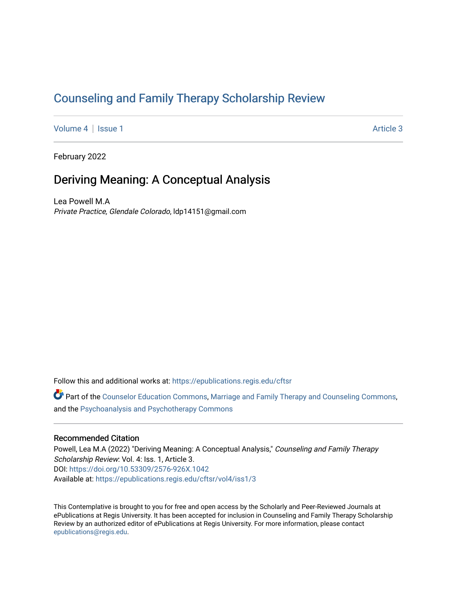# [Counseling and Family Therapy Scholarship Review](https://epublications.regis.edu/cftsr)

[Volume 4](https://epublications.regis.edu/cftsr/vol4) | [Issue 1](https://epublications.regis.edu/cftsr/vol4/iss1) Article 3

February 2022

## Deriving Meaning: A Conceptual Analysis

Lea Powell M.A Private Practice, Glendale Colorado, ldp14151@gmail.com

Follow this and additional works at: [https://epublications.regis.edu/cftsr](https://epublications.regis.edu/cftsr?utm_source=epublications.regis.edu%2Fcftsr%2Fvol4%2Fiss1%2F3&utm_medium=PDF&utm_campaign=PDFCoverPages) 

Part of the [Counselor Education Commons,](http://network.bepress.com/hgg/discipline/1278?utm_source=epublications.regis.edu%2Fcftsr%2Fvol4%2Fiss1%2F3&utm_medium=PDF&utm_campaign=PDFCoverPages) [Marriage and Family Therapy and Counseling Commons,](http://network.bepress.com/hgg/discipline/715?utm_source=epublications.regis.edu%2Fcftsr%2Fvol4%2Fiss1%2F3&utm_medium=PDF&utm_campaign=PDFCoverPages) and the [Psychoanalysis and Psychotherapy Commons](http://network.bepress.com/hgg/discipline/716?utm_source=epublications.regis.edu%2Fcftsr%2Fvol4%2Fiss1%2F3&utm_medium=PDF&utm_campaign=PDFCoverPages)

### Recommended Citation

Powell, Lea M.A (2022) "Deriving Meaning: A Conceptual Analysis," Counseling and Family Therapy Scholarship Review: Vol. 4: Iss. 1, Article 3. DOI:<https://doi.org/10.53309/2576-926X.1042> Available at: [https://epublications.regis.edu/cftsr/vol4/iss1/3](https://epublications.regis.edu/cftsr/vol4/iss1/3?utm_source=epublications.regis.edu%2Fcftsr%2Fvol4%2Fiss1%2F3&utm_medium=PDF&utm_campaign=PDFCoverPages)

This Contemplative is brought to you for free and open access by the Scholarly and Peer-Reviewed Journals at ePublications at Regis University. It has been accepted for inclusion in Counseling and Family Therapy Scholarship Review by an authorized editor of ePublications at Regis University. For more information, please contact [epublications@regis.edu.](mailto:epublications@regis.edu)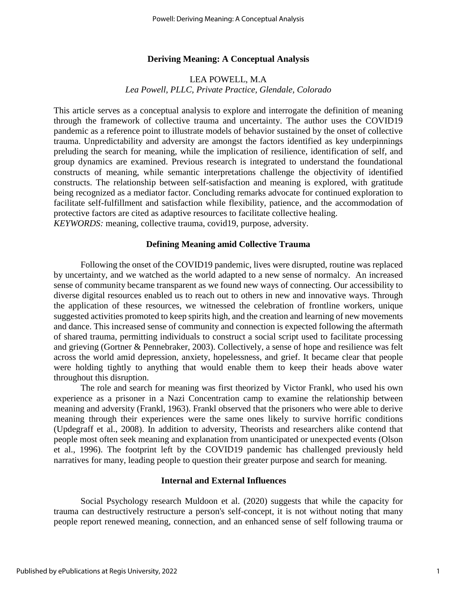## **Deriving Meaning: A Conceptual Analysis**

## LEA POWELL, M.A *Lea Powell, PLLC, Private Practice, Glendale, Colorado*

This article serves as a conceptual analysis to explore and interrogate the definition of meaning through the framework of collective trauma and uncertainty. The author uses the COVID19 pandemic as a reference point to illustrate models of behavior sustained by the onset of collective trauma. Unpredictability and adversity are amongst the factors identified as key underpinnings preluding the search for meaning, while the implication of resilience, identification of self, and group dynamics are examined. Previous research is integrated to understand the foundational constructs of meaning, while semantic interpretations challenge the objectivity of identified constructs. The relationship between self-satisfaction and meaning is explored, with gratitude being recognized as a mediator factor. Concluding remarks advocate for continued exploration to facilitate self-fulfillment and satisfaction while flexibility, patience, and the accommodation of protective factors are cited as adaptive resources to facilitate collective healing. *KEYWORDS:* meaning, collective trauma, covid19, purpose, adversity.

#### **Defining Meaning amid Collective Trauma**

Following the onset of the COVID19 pandemic, lives were disrupted, routine was replaced by uncertainty, and we watched as the world adapted to a new sense of normalcy. An increased sense of community became transparent as we found new ways of connecting. Our accessibility to diverse digital resources enabled us to reach out to others in new and innovative ways. Through the application of these resources, we witnessed the celebration of frontline workers, unique suggested activities promoted to keep spirits high, and the creation and learning of new movements and dance. This increased sense of community and connection is expected following the aftermath of shared trauma, permitting individuals to construct a social script used to facilitate processing and grieving (Gortner & Pennebraker, 2003). Collectively, a sense of hope and resilience was felt across the world amid depression, anxiety, hopelessness, and grief. It became clear that people were holding tightly to anything that would enable them to keep their heads above water throughout this disruption.

The role and search for meaning was first theorized by Victor Frankl, who used his own experience as a prisoner in a Nazi Concentration camp to examine the relationship between meaning and adversity (Frankl, 1963). Frankl observed that the prisoners who were able to derive meaning through their experiences were the same ones likely to survive horrific conditions (Updegraff et al., 2008). In addition to adversity, Theorists and researchers alike contend that people most often seek meaning and explanation from unanticipated or unexpected events (Olson et al., 1996). The footprint left by the COVID19 pandemic has challenged previously held narratives for many, leading people to question their greater purpose and search for meaning.

#### **Internal and External Influences**

Social Psychology research Muldoon et al. (2020) suggests that while the capacity for trauma can destructively restructure a person's self-concept, it is not without noting that many people report renewed meaning, connection, and an enhanced sense of self following trauma or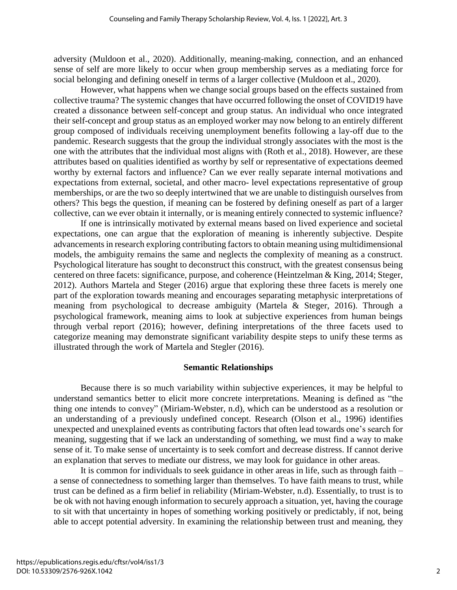adversity (Muldoon et al., 2020). Additionally, meaning-making, connection, and an enhanced sense of self are more likely to occur when group membership serves as a mediating force for social belonging and defining oneself in terms of a larger collective (Muldoon et al., 2020).

However, what happens when we change social groups based on the effects sustained from collective trauma? The systemic changes that have occurred following the onset of COVID19 have created a dissonance between self-concept and group status. An individual who once integrated their self-concept and group status as an employed worker may now belong to an entirely different group composed of individuals receiving unemployment benefits following a lay-off due to the pandemic. Research suggests that the group the individual strongly associates with the most is the one with the attributes that the individual most aligns with (Roth et al., 2018). However, are these attributes based on qualities identified as worthy by self or representative of expectations deemed worthy by external factors and influence? Can we ever really separate internal motivations and expectations from external, societal, and other macro- level expectations representative of group memberships, or are the two so deeply intertwined that we are unable to distinguish ourselves from others? This begs the question, if meaning can be fostered by defining oneself as part of a larger collective, can we ever obtain it internally, or is meaning entirely connected to systemic influence?

If one is intrinsically motivated by external means based on lived experience and societal expectations, one can argue that the exploration of meaning is inherently subjective. Despite advancements in research exploring contributing factors to obtain meaning using multidimensional models, the ambiguity remains the same and neglects the complexity of meaning as a construct. Psychological literature has sought to deconstruct this construct, with the greatest consensus being centered on three facets: significance, purpose, and coherence (Heintzelman & King, 2014; Steger, 2012). Authors Martela and Steger (2016) argue that exploring these three facets is merely one part of the exploration towards meaning and encourages separating metaphysic interpretations of meaning from psychological to decrease ambiguity (Martela & Steger, 2016). Through a psychological framework, meaning aims to look at subjective experiences from human beings through verbal report (2016); however, defining interpretations of the three facets used to categorize meaning may demonstrate significant variability despite steps to unify these terms as illustrated through the work of Martela and Stegler (2016).

## **Semantic Relationships**

Because there is so much variability within subjective experiences, it may be helpful to understand semantics better to elicit more concrete interpretations. Meaning is defined as "the thing one intends to convey" (Miriam-Webster, n.d), which can be understood as a resolution or an understanding of a previously undefined concept. Research (Olson et al., 1996) identifies unexpected and unexplained events as contributing factors that often lead towards one's search for meaning, suggesting that if we lack an understanding of something, we must find a way to make sense of it. To make sense of uncertainty is to seek comfort and decrease distress. If cannot derive an explanation that serves to mediate our distress, we may look for guidance in other areas.

It is common for individuals to seek guidance in other areas in life, such as through faith – a sense of connectedness to something larger than themselves. To have faith means to trust, while trust can be defined as a firm belief in reliability (Miriam-Webster, n.d). Essentially, to trust is to be ok with not having enough information to securely approach a situation, yet, having the courage to sit with that uncertainty in hopes of something working positively or predictably, if not, being able to accept potential adversity. In examining the relationship between trust and meaning, they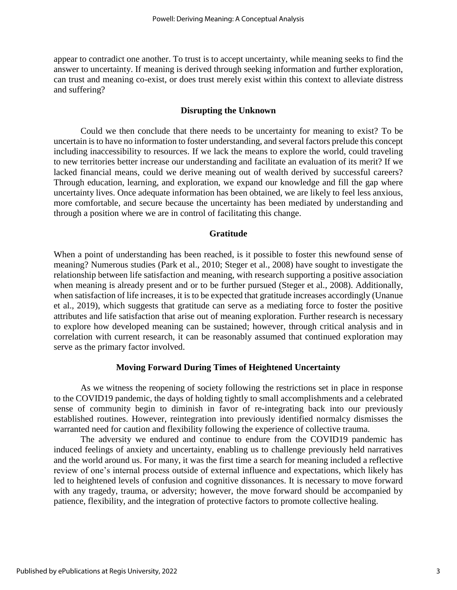appear to contradict one another. To trust is to accept uncertainty, while meaning seeks to find the answer to uncertainty. If meaning is derived through seeking information and further exploration, can trust and meaning co-exist, or does trust merely exist within this context to alleviate distress and suffering?

### **Disrupting the Unknown**

Could we then conclude that there needs to be uncertainty for meaning to exist? To be uncertain is to have no information to foster understanding, and several factors prelude this concept including inaccessibility to resources. If we lack the means to explore the world, could traveling to new territories better increase our understanding and facilitate an evaluation of its merit? If we lacked financial means, could we derive meaning out of wealth derived by successful careers? Through education, learning, and exploration, we expand our knowledge and fill the gap where uncertainty lives. Once adequate information has been obtained, we are likely to feel less anxious, more comfortable, and secure because the uncertainty has been mediated by understanding and through a position where we are in control of facilitating this change.

#### **Gratitude**

When a point of understanding has been reached, is it possible to foster this newfound sense of meaning? Numerous studies (Park et al., 2010; Steger et al., 2008) have sought to investigate the relationship between life satisfaction and meaning, with research supporting a positive association when meaning is already present and or to be further pursued (Steger et al., 2008). Additionally, when satisfaction of life increases, it is to be expected that gratitude increases accordingly (Unanue et al., 2019), which suggests that gratitude can serve as a mediating force to foster the positive attributes and life satisfaction that arise out of meaning exploration. Further research is necessary to explore how developed meaning can be sustained; however, through critical analysis and in correlation with current research, it can be reasonably assumed that continued exploration may serve as the primary factor involved.

#### **Moving Forward During Times of Heightened Uncertainty**

As we witness the reopening of society following the restrictions set in place in response to the COVID19 pandemic, the days of holding tightly to small accomplishments and a celebrated sense of community begin to diminish in favor of re-integrating back into our previously established routines. However, reintegration into previously identified normalcy dismisses the warranted need for caution and flexibility following the experience of collective trauma.

The adversity we endured and continue to endure from the COVID19 pandemic has induced feelings of anxiety and uncertainty, enabling us to challenge previously held narratives and the world around us. For many, it was the first time a search for meaning included a reflective review of one's internal process outside of external influence and expectations, which likely has led to heightened levels of confusion and cognitive dissonances. It is necessary to move forward with any tragedy, trauma, or adversity; however, the move forward should be accompanied by patience, flexibility, and the integration of protective factors to promote collective healing.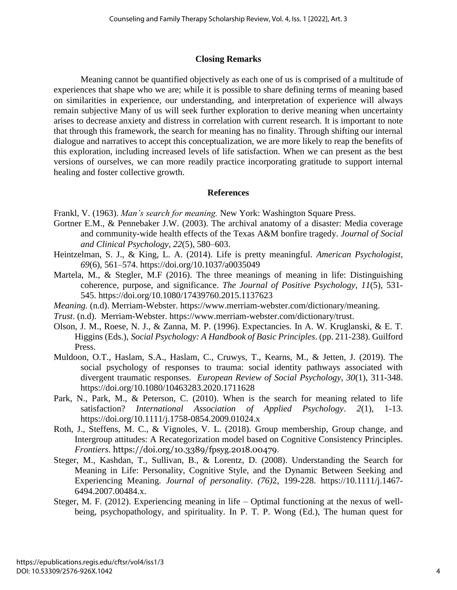## **Closing Remarks**

Meaning cannot be quantified objectively as each one of us is comprised of a multitude of experiences that shape who we are; while it is possible to share defining terms of meaning based on similarities in experience, our understanding, and interpretation of experience will always remain subjective Many of us will seek further exploration to derive meaning when uncertainty arises to decrease anxiety and distress in correlation with current research. It is important to note that through this framework, the search for meaning has no finality. Through shifting our internal dialogue and narratives to accept this conceptualization, we are more likely to reap the benefits of this exploration, including increased levels of life satisfaction. When we can present as the best versions of ourselves, we can more readily practice incorporating gratitude to support internal healing and foster collective growth.

## **References**

- Frankl, V. (1963). *Man's search for meaning.* New York: Washington Square Press.
- Gortner E.M., & Pennebaker J.W. (2003). The archival anatomy of a disaster: Media coverage and community-wide health effects of the Texas A&M bonfire tragedy. *Journal of Social and Clinical Psychology*, *22*(5), 580–603.
- Heintzelman, S. J., & King, L. A. (2014). Life is pretty meaningful. *American Psychologist*, *69*(6), 561–574. https://doi.org/10.1037/a0035049
- Martela, M., & Stegler, M.F (2016). The three meanings of meaning in life: Distinguishing coherence, purpose, and significance. *The Journal of Positive Psychology*, *11*(5), 531- 545. https://doi.org/10.1080/17439760.2015.1137623
- *Meaning.* (n.d). Merriam-Webster. [https://www.merriam-webster.com/dictionary/meaning.](https://www.merriam-webster.com/dictionary/meaning)
- *Trust*. (n.d). Merriam-Webster. https://www.merriam-webster.com/dictionary/trust.
- Olson, J. M., Roese, N. J., & Zanna, M. P. (1996). Expectancies. In A. W. Kruglanski, & E. T. Higgins (Eds.), *Social Psychology: A Handbook of Basic Principles*. (pp. 211-238). Guilford Press.
- Muldoon, O.T., Haslam, S.A., Haslam, C., Cruwys, T., Kearns, M., & Jetten, J. (2019). The social psychology of responses to trauma: social identity pathways associated with divergent traumatic responses. *European Review of Social Psychology*, *30*(1), 311-348. https://doi.org/10.1080/10463283.2020.1711628
- Park, N., Park, M., & Peterson, C. (2010). When is the search for meaning related to life satisfaction? *International Association of Applied Psychology*. *2*(1), 1-13. https://doi.org/10.1111/j.1758-0854.2009.01024.x
- Roth, J., Steffens, M. C., & Vignoles, V. L. (2018). Group membership, Group change, and Intergroup attitudes: A Recategorization model based on Cognitive Consistency Principles. *Frontiers*. <https://doi.org/10.3389/fpsyg.2018.00479>.
- Steger, M., Kashdan, T., Sullivan, B., & Lorentz, D. (2008). Understanding the Search for Meaning in Life: Personality, Cognitive Style, and the Dynamic Between Seeking and Experiencing Meaning. *Journal of personality*. *(76)*2, 199-228. https://10.1111/j.1467- 6494.2007.00484.x.
- Steger, M. F. (2012). Experiencing meaning in life Optimal functioning at the nexus of wellbeing, psychopathology, and spirituality. In P. T. P. Wong (Ed.), The human quest for